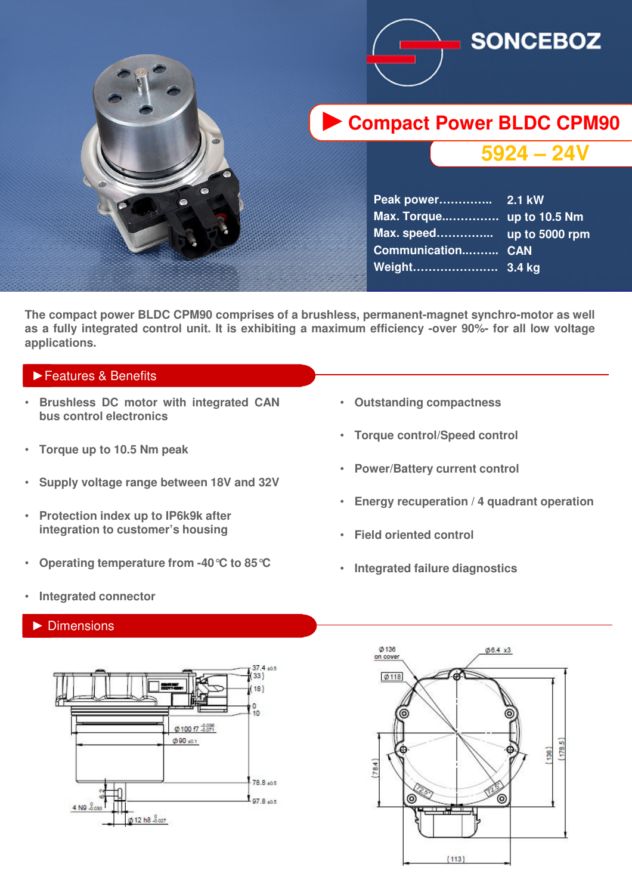

**The compact power BLDC CPM90 comprises of a brushless, permanent-magnet synchro-motor as well as a fully integrated control unit. It is exhibiting a maximum efficiency -over 90%- for all low voltage applications.**

#### ►Features & Benefits

- **Brushless DC motor with integrated CAN bus control electronics**
- **Torque up to 10.5 Nm peak**
- **Supply voltage range between 18V and 32V**
- **Protection index up to IP6k9k after integration to customer's housing**
- **Operating temperature from -40°C to 85°C**
- **Outstanding compactness**
- **Torque control/Speed control**
- **Power/Battery current control**
- **Energy recuperation / 4 quadrant operation**
- **Field oriented control**
- **Integrated failure diagnostics**

# • **Integrated connector**

#### ► Dimensions